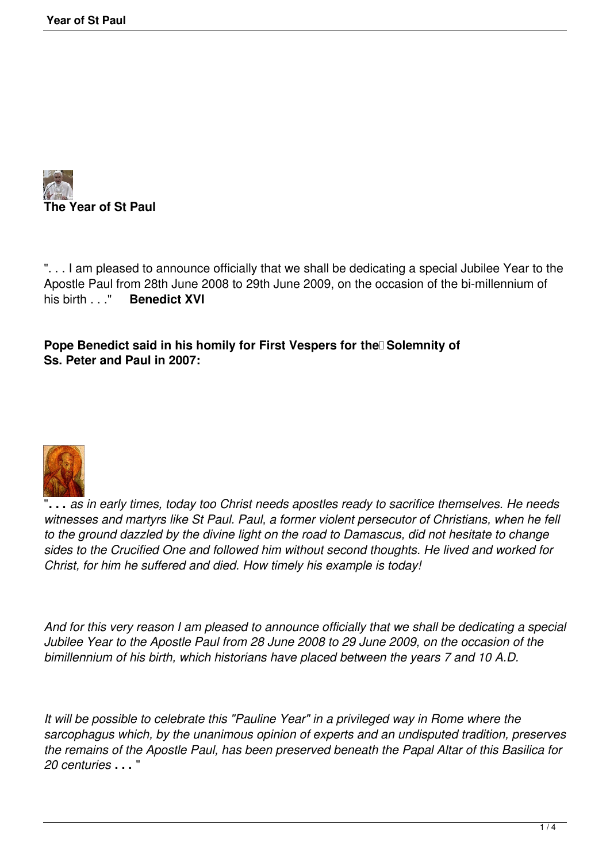

". . . I am pleased to announce officially that we shall be dedicating a special Jubilee Year to the Apostle Paul from 28th June 2008 to 29th June 2009, on the occasion of the bi-millennium of his birth ...." Benedict XVI **Benedict XVI** 

**Pope Benedict said in his homily for First Vespers for the Solemnity of Ss. Peter and Paul in 2007:**



"**. . .** *as in early times, today too Christ needs apostles ready to sacrifice themselves. He needs witnesses and martyrs like St Paul. Paul, a former violent persecutor of Christians, when he fell to the ground dazzled by the divine light on the road to Damascus, did not hesitate to change sides to the Crucified One and followed him without second thoughts. He lived and worked for Christ, for him he suffered and died. How timely his example is today!*

*And for this very reason I am pleased to announce officially that we shall be dedicating a special Jubilee Year to the Apostle Paul from 28 June 2008 to 29 June 2009, on the occasion of the bimillennium of his birth, which historians have placed between the years 7 and 10 A.D.*

*It will be possible to celebrate this "Pauline Year" in a privileged way in Rome where the sarcophagus which, by the unanimous opinion of experts and an undisputed tradition, preserves the remains of the Apostle Paul, has been preserved beneath the Papal Altar of this Basilica for 20 centuries* **. . .** "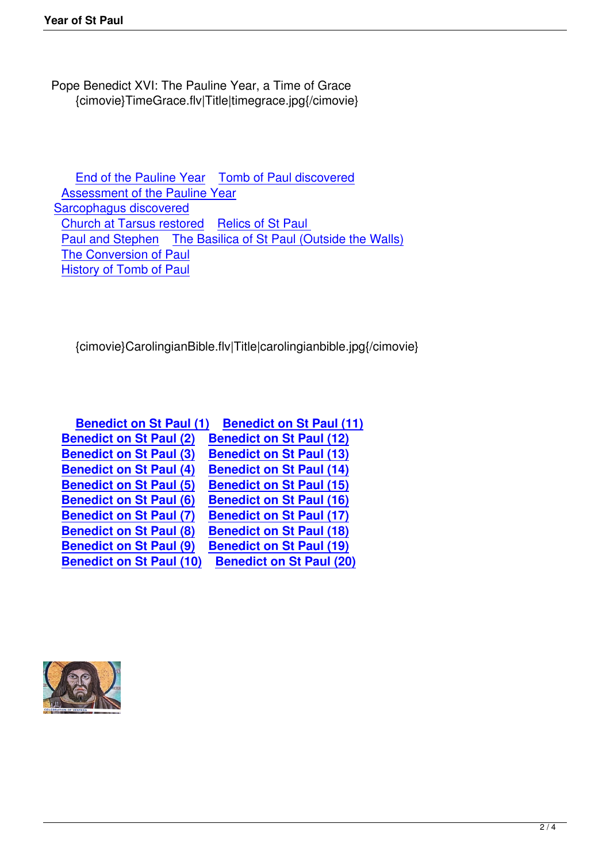Pope Benedict XVI: The Pauline Year, a Time of Grace {cimovie}TimeGrace.flv|Title|timegrace.jpg{/cimovie}

 End of the Pauline Year Tomb of Paul discovered Assessment of the Pauline Year Sarcophagus discovered C[hurch at Tarsus restored](index.php?option=com_content&view=article&id=894) Relics of St Paul [Paul and Stephen The Basilica](index.php?option=com_content&view=article&id=891) of St Paul (Outside the Walls) [The Conversion of Paul](index.php?option=com_content&view=article&id=517) [History of Tomb of Paul](component/cifeed/?task=newsarticle&artid=6258) 

{cimovie}CarolingianBible.flv|Title|carolingianbible.jpg{/cimovie}

| <b>Benedict on St Paul (1)</b>  | <b>Benedict on St Paul (11)</b> |
|---------------------------------|---------------------------------|
| <b>Benedict on St Paul (2)</b>  | <b>Benedict on St Paul (12)</b> |
| <b>Benedict on St Paul (3)</b>  | <b>Benedict on St Paul (13)</b> |
| <b>Benedict on St Paul (4)</b>  | <b>Benedict on St Paul (14)</b> |
| <b>Benedict on St Paul (5)</b>  | <b>Benedict on St Paul (15)</b> |
| <b>Benedict on St Paul (6)</b>  | <b>Benedict on St Paul (16)</b> |
| <b>Benedict on St Paul (7)</b>  | <b>Benedict on St Paul (17)</b> |
| <b>Benedict on St Paul (8)</b>  | <b>Benedict on St Paul (18)</b> |
| <b>Benedict on St Paul (9)</b>  | <b>Benedict on St Paul (19)</b> |
| <b>Benedict on St Paul (10)</b> | <b>Benedict on St Paul (20)</b> |

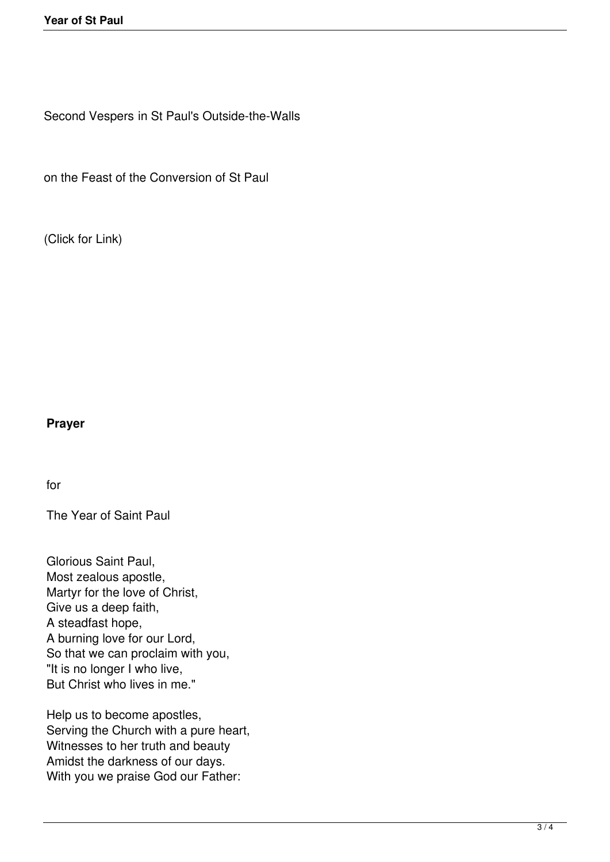Second Vespers in St Paul's Outside-the-Walls

on the Feast of the Conversion of St Paul

(Click for Link)

## **Prayer**

for

The Year of Saint Paul

Glorious Saint Paul, Most zealous apostle, Martyr for the love of Christ, Give us a deep faith, A steadfast hope, A burning love for our Lord, So that we can proclaim with you, "It is no longer I who live, But Christ who lives in me."

Help us to become apostles, Serving the Church with a pure heart, Witnesses to her truth and beauty Amidst the darkness of our days. With you we praise God our Father: